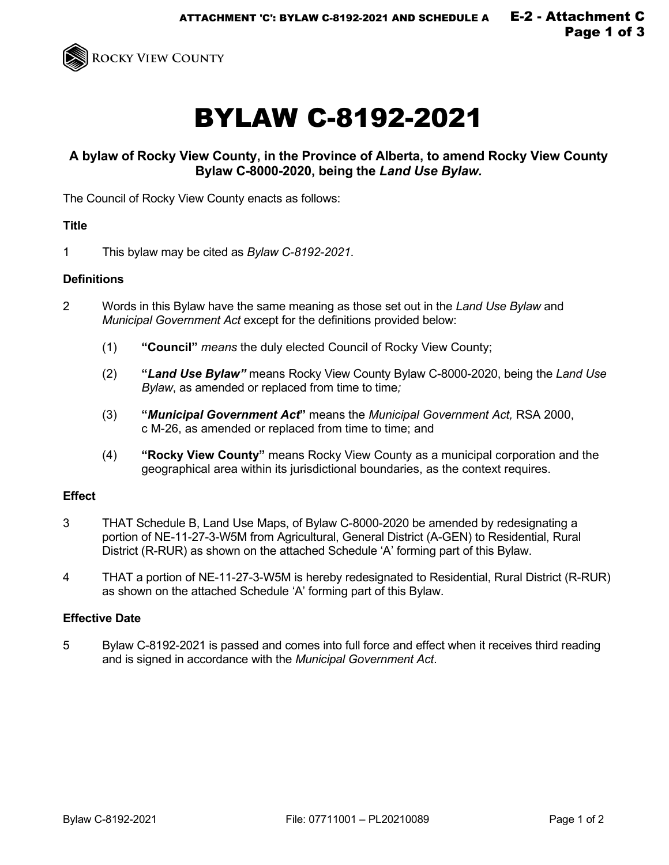

# BYLAW C-8192-2021

## **A bylaw of Rocky View County, in the Province of Alberta, to amend Rocky View County Bylaw C-8000-2020, being the** *Land Use Bylaw.*

The Council of Rocky View County enacts as follows:

#### **Title**

1 This bylaw may be cited as *Bylaw C-8192-2021*.

#### **Definitions**

- 2 Words in this Bylaw have the same meaning as those set out in the *Land Use Bylaw* and *Municipal Government Act* except for the definitions provided below:
	- (1) **"Council"** *means* the duly elected Council of Rocky View County;
	- (2) **"***Land Use Bylaw"* means Rocky View County Bylaw C-8000-2020, being the *Land Use Bylaw*, as amended or replaced from time to time;
	- (3) **"***Municipal Government Act***"** means the *Municipal Government Act,* RSA 2000, c M-26, as amended or replaced from time to time; and
	- (4) **"Rocky View County"** means Rocky View County as a municipal corporation and the geographical area within its jurisdictional boundaries, as the context requires.

### **Effect**

- 3 THAT Schedule B, Land Use Maps, of Bylaw C-8000-2020 be amended by redesignating a portion of NE-11-27-3-W5M from Agricultural, General District (A-GEN) to Residential, Rural District (R-RUR) as shown on the attached Schedule 'A' forming part of this Bylaw.
- 4 THAT a portion of NE-11-27-3-W5M is hereby redesignated to Residential, Rural District (R-RUR) as shown on the attached Schedule 'A' forming part of this Bylaw.

#### **Effective Date**

5 Bylaw C-8192-2021 is passed and comes into full force and effect when it receives third reading and is signed in accordance with the *Municipal Government Act*.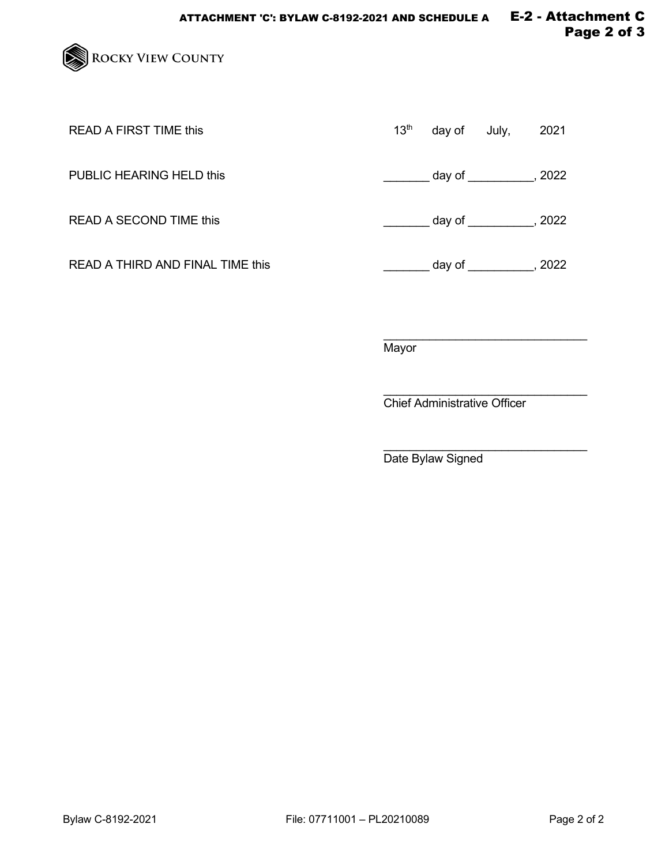

| READ A FIRST TIME this           | 13 <sup>th</sup> | day of | July,             | 2021 |
|----------------------------------|------------------|--------|-------------------|------|
| PUBLIC HEARING HELD this         |                  |        | $day of$ , $2022$ |      |
| READ A SECOND TIME this          |                  |        | $day of$ , $2022$ |      |
| READ A THIRD AND FINAL TIME this |                  |        | $day of$ , $2022$ |      |

 $\overline{\phantom{a}}$  , and the set of the set of the set of the set of the set of the set of the set of the set of the set of the set of the set of the set of the set of the set of the set of the set of the set of the set of the s **Mayor** 

 $\overline{\phantom{a}}$  , and the set of the set of the set of the set of the set of the set of the set of the set of the set of the set of the set of the set of the set of the set of the set of the set of the set of the set of the s Chief Administrative Officer

\_\_\_\_\_\_\_\_\_\_\_\_\_\_\_\_\_\_\_\_\_\_\_\_\_\_\_\_\_\_\_ Date Bylaw Signed